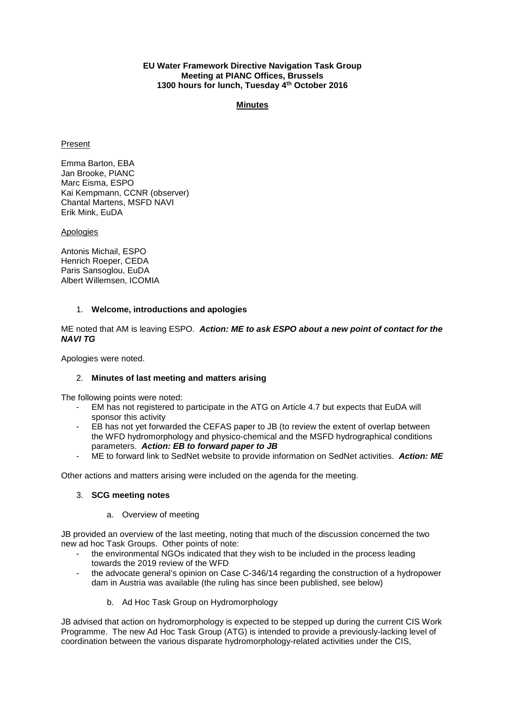### **EU Water Framework Directive Navigation Task Group Meeting at PIANC Offices, Brussels 1300 hours for lunch, Tuesday 4th October 2016**

#### **Minutes**

### Present

Emma Barton, EBA Jan Brooke, PIANC Marc Eisma, ESPO Kai Kempmann, CCNR (observer) Chantal Martens, MSFD NAVI Erik Mink, EuDA

#### **Apologies**

Antonis Michail, ESPO Henrich Roeper, CEDA Paris Sansoglou, EuDA Albert Willemsen, ICOMIA

### 1. **Welcome, introductions and apologies**

### ME noted that AM is leaving ESPO. *Action: ME to ask ESPO about a new point of contact for the NAVI TG*

Apologies were noted.

# 2. **Minutes of last meeting and matters arising**

The following points were noted:

- EM has not registered to participate in the ATG on Article 4.7 but expects that EuDA will sponsor this activity
- EB has not yet forwarded the CEFAS paper to JB (to review the extent of overlap between the WFD hydromorphology and physico-chemical and the MSFD hydrographical conditions parameters. *Action: EB to forward paper to JB*
- ME to forward link to SedNet website to provide information on SedNet activities. *Action: ME*

Other actions and matters arising were included on the agenda for the meeting.

# 3. **SCG meeting notes**

# a. Overview of meeting

JB provided an overview of the last meeting, noting that much of the discussion concerned the two new ad hoc Task Groups. Other points of note:

- the environmental NGOs indicated that they wish to be included in the process leading towards the 2019 review of the WFD
- the advocate general's opinion on Case C-346/14 regarding the construction of a hydropower dam in Austria was available (the ruling has since been published, see below)
	- b. Ad Hoc Task Group on Hydromorphology

JB advised that action on hydromorphology is expected to be stepped up during the current CIS Work Programme. The new Ad Hoc Task Group (ATG) is intended to provide a previously-lacking level of coordination between the various disparate hydromorphology-related activities under the CIS,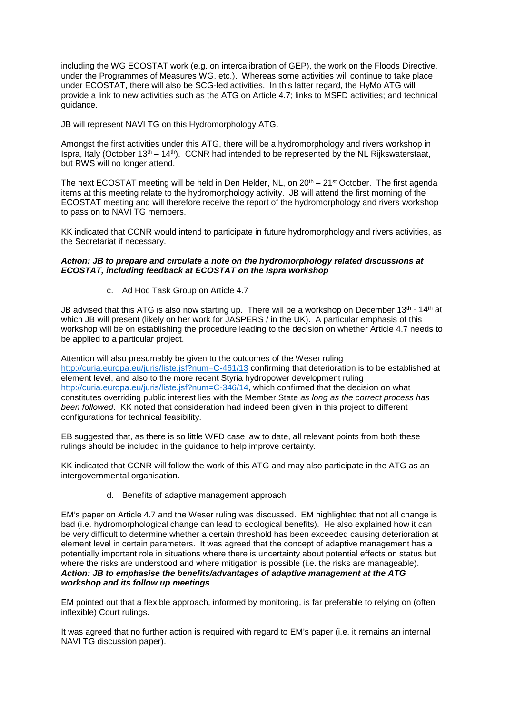including the WG ECOSTAT work (e.g. on intercalibration of GEP), the work on the Floods Directive, under the Programmes of Measures WG, etc.). Whereas some activities will continue to take place under ECOSTAT, there will also be SCG-led activities. In this latter regard, the HyMo ATG will provide a link to new activities such as the ATG on Article 4.7; links to MSFD activities; and technical guidance.

JB will represent NAVI TG on this Hydromorphology ATG.

Amongst the first activities under this ATG, there will be a hydromorphology and rivers workshop in Ispra, Italy (October 13<sup>th</sup> – 14<sup>th</sup>). CCNR had intended to be represented by the NL Rijkswaterstaat, but RWS will no longer attend.

The next ECOSTAT meeting will be held in Den Helder, NL, on  $20<sup>th</sup> - 21<sup>st</sup>$  October. The first agenda items at this meeting relate to the hydromorphology activity. JB will attend the first morning of the ECOSTAT meeting and will therefore receive the report of the hydromorphology and rivers workshop to pass on to NAVI TG members.

KK indicated that CCNR would intend to participate in future hydromorphology and rivers activities, as the Secretariat if necessary.

#### *Action: JB to prepare and circulate a note on the hydromorphology related discussions at ECOSTAT, including feedback at ECOSTAT on the Ispra workshop*

c. Ad Hoc Task Group on Article 4.7

JB advised that this ATG is also now starting up. There will be a workshop on December  $13<sup>th</sup> - 14<sup>th</sup>$  at which JB will present (likely on her work for JASPERS / in the UK). A particular emphasis of this workshop will be on establishing the procedure leading to the decision on whether Article 4.7 needs to be applied to a particular project.

Attention will also presumably be given to the outcomes of the Weser ruling <http://curia.europa.eu/juris/liste.jsf?num=C-461/13> confirming that deterioration is to be established at element level, and also to the more recent Styria hydropower development ruling [http://curia.europa.eu/juris/liste.jsf?num=C-346/14,](http://curia.europa.eu/juris/liste.jsf?num=C-346/14) which confirmed that the decision on what constitutes overriding public interest lies with the Member State *as long as the correct process has been followed*. KK noted that consideration had indeed been given in this project to different configurations for technical feasibility.

EB suggested that, as there is so little WFD case law to date, all relevant points from both these rulings should be included in the guidance to help improve certainty.

KK indicated that CCNR will follow the work of this ATG and may also participate in the ATG as an intergovernmental organisation.

d. Benefits of adaptive management approach

EM's paper on Article 4.7 and the Weser ruling was discussed. EM highlighted that not all change is bad (i.e. hydromorphological change can lead to ecological benefits). He also explained how it can be very difficult to determine whether a certain threshold has been exceeded causing deterioration at element level in certain parameters. It was agreed that the concept of adaptive management has a potentially important role in situations where there is uncertainty about potential effects on status but where the risks are understood and where mitigation is possible (i.e. the risks are manageable). *Action: JB to emphasise the benefits/advantages of adaptive management at the ATG workshop and its follow up meetings*

EM pointed out that a flexible approach, informed by monitoring, is far preferable to relying on (often inflexible) Court rulings.

It was agreed that no further action is required with regard to EM's paper (i.e. it remains an internal NAVI TG discussion paper).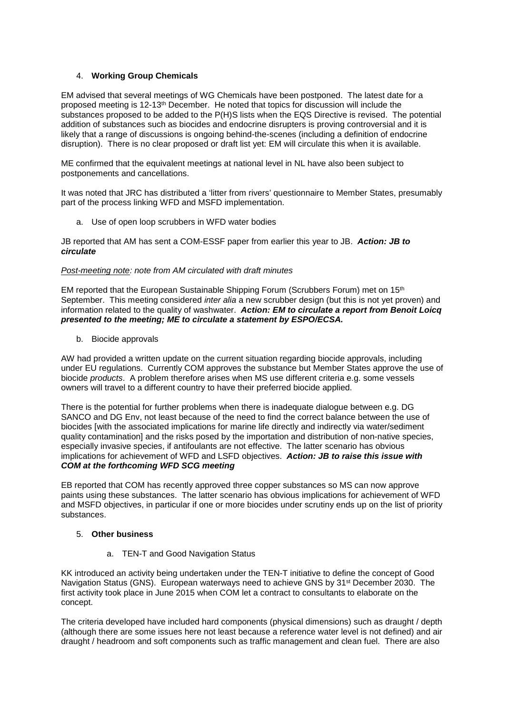# 4. **Working Group Chemicals**

EM advised that several meetings of WG Chemicals have been postponed. The latest date for a proposed meeting is 12-13th December. He noted that topics for discussion will include the substances proposed to be added to the P(H)S lists when the EQS Directive is revised. The potential addition of substances such as biocides and endocrine disrupters is proving controversial and it is likely that a range of discussions is ongoing behind-the-scenes (including a definition of endocrine disruption). There is no clear proposed or draft list yet: EM will circulate this when it is available.

ME confirmed that the equivalent meetings at national level in NL have also been subject to postponements and cancellations.

It was noted that JRC has distributed a 'litter from rivers' questionnaire to Member States, presumably part of the process linking WFD and MSFD implementation.

a. Use of open loop scrubbers in WFD water bodies

JB reported that AM has sent a COM-ESSF paper from earlier this year to JB. *Action: JB to circulate*

# *Post-meeting note: note from AM circulated with draft minutes*

EM reported that the European Sustainable Shipping Forum (Scrubbers Forum) met on 15th September. This meeting considered *inter alia* a new scrubber design (but this is not yet proven) and information related to the quality of washwater. *Action: EM to circulate a report from Benoit Loicq presented to the meeting; ME to circulate a statement by ESPO/ECSA.* 

b. Biocide approvals

AW had provided a written update on the current situation regarding biocide approvals, including under EU regulations. Currently COM approves the substance but Member States approve the use of biocide *products*. A problem therefore arises when MS use different criteria e.g. some vessels owners will travel to a different country to have their preferred biocide applied.

There is the potential for further problems when there is inadequate dialogue between e.g. DG SANCO and DG Env, not least because of the need to find the correct balance between the use of biocides [with the associated implications for marine life directly and indirectly via water/sediment quality contamination] and the risks posed by the importation and distribution of non-native species, especially invasive species, if antifoulants are not effective. The latter scenario has obvious implications for achievement of WFD and LSFD objectives. *Action: JB to raise this issue with COM at the forthcoming WFD SCG meeting*

EB reported that COM has recently approved three copper substances so MS can now approve paints using these substances. The latter scenario has obvious implications for achievement of WFD and MSFD objectives, in particular if one or more biocides under scrutiny ends up on the list of priority substances.

# 5. **Other business**

a. TEN-T and Good Navigation Status

KK introduced an activity being undertaken under the TEN-T initiative to define the concept of Good Navigation Status (GNS). European waterways need to achieve GNS by 31st December 2030. The first activity took place in June 2015 when COM let a contract to consultants to elaborate on the concept.

The criteria developed have included hard components (physical dimensions) such as draught / depth (although there are some issues here not least because a reference water level is not defined) and air draught / headroom and soft components such as traffic management and clean fuel. There are also